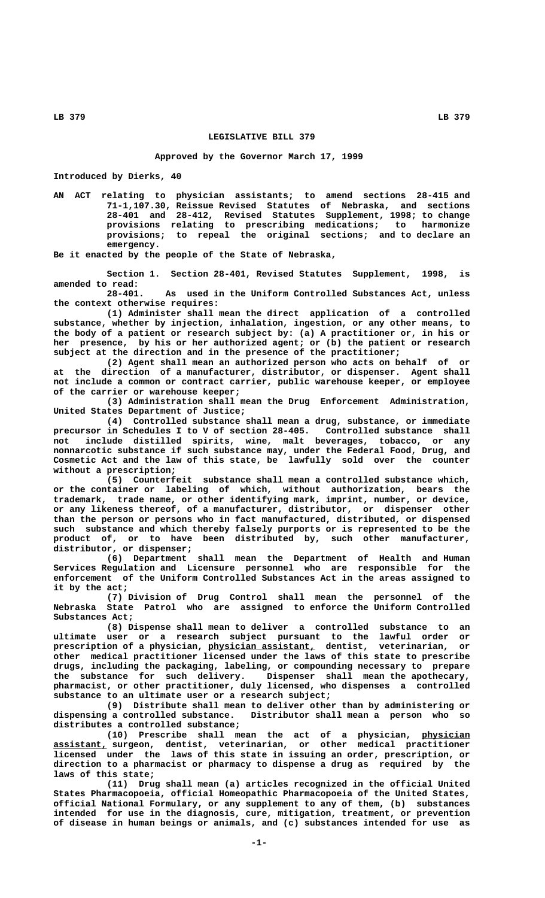## **LEGISLATIVE BILL 379**

## **Approved by the Governor March 17, 1999**

**Introduced by Dierks, 40**

**AN ACT relating to physician assistants; to amend sections 28-415 and 71-1,107.30, Reissue Revised Statutes of Nebraska, and sections 28-401 and 28-412, Revised Statutes Supplement, 1998; to change provisions relating to prescribing medications; to harmonize provisions; to repeal the original sections; and to declare an emergency.**

**Be it enacted by the people of the State of Nebraska,**

**Section 1. Section 28-401, Revised Statutes Supplement, 1998, is amended to read:**

**28-401. As used in the Uniform Controlled Substances Act, unless the context otherwise requires:**

**(1) Administer shall mean the direct application of a controlled substance, whether by injection, inhalation, ingestion, or any other means, to the body of a patient or research subject by: (a) A practitioner or, in his or her presence, by his or her authorized agent; or (b) the patient or research subject at the direction and in the presence of the practitioner;**

**(2) Agent shall mean an authorized person who acts on behalf of or at the direction of a manufacturer, distributor, or dispenser. Agent shall not include a common or contract carrier, public warehouse keeper, or employee of the carrier or warehouse keeper;**

**(3) Administration shall mean the Drug Enforcement Administration, United States Department of Justice;**

**(4) Controlled substance shall mean a drug, substance, or immediate precursor in Schedules I to V of section 28-405. Controlled substance shall not include distilled spirits, wine, malt beverages, tobacco, or any nonnarcotic substance if such substance may, under the Federal Food, Drug, and Cosmetic Act and the law of this state, be lawfully sold over the counter without a prescription;**

**(5) Counterfeit substance shall mean a controlled substance which, or the container or labeling of which, without authorization, bears the trademark, trade name, or other identifying mark, imprint, number, or device, or any likeness thereof, of a manufacturer, distributor, or dispenser other than the person or persons who in fact manufactured, distributed, or dispensed such substance and which thereby falsely purports or is represented to be the product of, or to have been distributed by, such other manufacturer, distributor, or dispenser;**

**(6) Department shall mean the Department of Health and Human Services Regulation and Licensure personnel who are responsible for the enforcement of the Uniform Controlled Substances Act in the areas assigned to it by the act;**

**(7) Division of Drug Control shall mean the personnel of the Nebraska State Patrol who are assigned to enforce the Uniform Controlled Substances Act;**

**(8) Dispense shall mean to deliver a controlled substance to an ultimate user or a research subject pursuant to the lawful order or \_\_\_\_\_\_\_\_\_\_\_\_\_\_\_\_\_\_\_\_ prescription of a physician, physician assistant, dentist, veterinarian, or other medical practitioner licensed under the laws of this state to prescribe drugs, including the packaging, labeling, or compounding necessary to prepare the substance for such delivery. Dispenser shall mean the apothecary, pharmacist, or other practitioner, duly licensed, who dispenses a controlled substance to an ultimate user or a research subject;**

**(9) Distribute shall mean to deliver other than by administering or dispensing a controlled substance. Distributor shall mean a person who so distributes a controlled substance;**

**(10) Prescribe shall mean the act of a physician, physician \_\_\_\_\_\_\_\_\_ \_\_\_\_\_\_\_\_\_\_ assistant, surgeon, dentist, veterinarian, or other medical practitioner licensed under the laws of this state in issuing an order, prescription, or direction to a pharmacist or pharmacy to dispense a drug as required by the laws of this state;**

> **(11) Drug shall mean (a) articles recognized in the official United States Pharmacopoeia, official Homeopathic Pharmacopoeia of the United States, official National Formulary, or any supplement to any of them, (b) substances intended for use in the diagnosis, cure, mitigation, treatment, or prevention of disease in human beings or animals, and (c) substances intended for use as**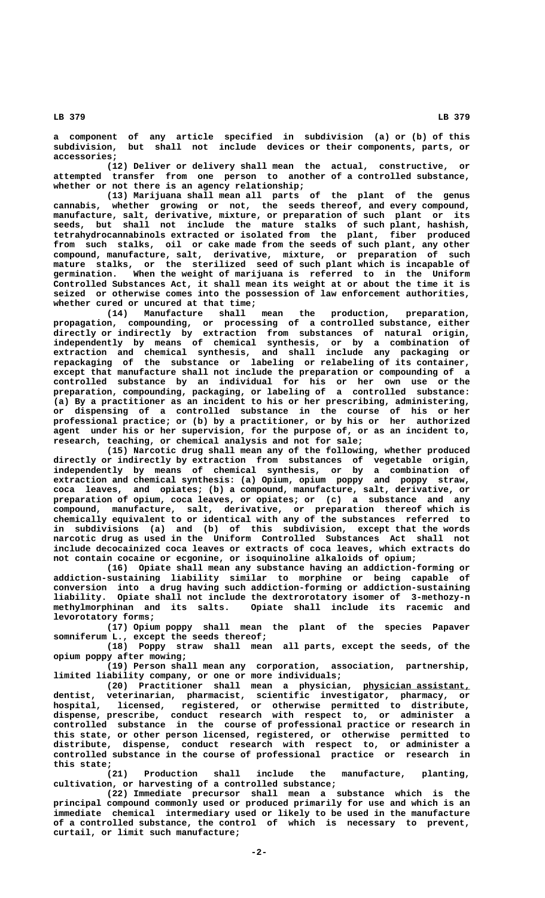**a component of any article specified in subdivision (a) or (b) of this subdivision, but shall not include devices or their components, parts, or accessories;**

**(12) Deliver or delivery shall mean the actual, constructive, or attempted transfer from one person to another of a controlled substance, whether or not there is an agency relationship;**

**(13) Marijuana shall mean all parts of the plant of the genus cannabis, whether growing or not, the seeds thereof, and every compound, manufacture, salt, derivative, mixture, or preparation of such plant or its seeds, but shall not include the mature stalks of such plant, hashish, tetrahydrocannabinols extracted or isolated from the plant, fiber produced from such stalks, oil or cake made from the seeds of such plant, any other compound, manufacture, salt, derivative, mixture, or preparation of such mature stalks, or the sterilized seed of such plant which is incapable of germination. When the weight of marijuana is referred to in the Uniform Controlled Substances Act, it shall mean its weight at or about the time it is seized or otherwise comes into the possession of law enforcement authorities, whether cured or uncured at that time;**

**(14) Manufacture shall mean the production, preparation, propagation, compounding, or processing of a controlled substance, either directly or indirectly by extraction from substances of natural origin, independently by means of chemical synthesis, or by a combination of extraction and chemical synthesis, and shall include any packaging or repackaging of the substance or labeling or relabeling of its container, except that manufacture shall not include the preparation or compounding of a controlled substance by an individual for his or her own use or the preparation, compounding, packaging, or labeling of a controlled substance: (a) By a practitioner as an incident to his or her prescribing, administering, or dispensing of a controlled substance in the course of his or her professional practice; or (b) by a practitioner, or by his or her authorized agent under his or her supervision, for the purpose of, or as an incident to, research, teaching, or chemical analysis and not for sale;**

**(15) Narcotic drug shall mean any of the following, whether produced directly or indirectly by extraction from substances of vegetable origin, independently by means of chemical synthesis, or by a combination of extraction and chemical synthesis: (a) Opium, opium poppy and poppy straw, coca leaves, and opiates; (b) a compound, manufacture, salt, derivative, or preparation of opium, coca leaves, or opiates; or (c) a substance and any compound, manufacture, salt, derivative, or preparation thereof which is chemically equivalent to or identical with any of the substances referred to in subdivisions (a) and (b) of this subdivision, except that the words narcotic drug as used in the Uniform Controlled Substances Act shall not include decocainized coca leaves or extracts of coca leaves, which extracts do not contain cocaine or ecgonine, or isoquinoline alkaloids of opium;**

**(16) Opiate shall mean any substance having an addiction-forming or addiction-sustaining liability similar to morphine or being capable of conversion into a drug having such addiction-forming or addiction-sustaining liability. Opiate shall not include the dextrorotatory isomer of 3-methozy-n** Opiate shall include its racemic and  **levorotatory forms;**

**(17) Opium poppy shall mean the plant of the species Papaver somniferum L., except the seeds thereof;**

**(18) Poppy straw shall mean all parts, except the seeds, of the opium poppy after mowing;**

**(19) Person shall mean any corporation, association, partnership, limited liability company, or one or more individuals;**

**(20) Practitioner shall mean a physician, physician assistant, \_\_\_\_\_\_\_\_\_\_\_\_\_\_\_\_\_\_\_\_ dentist, veterinarian, pharmacist, scientific investigator, pharmacy, or hospital, licensed, registered, or otherwise permitted to distribute, dispense, prescribe, conduct research with respect to, or administer a controlled substance in the course of professional practice or research in this state, or other person licensed, registered, or otherwise permitted to distribute, dispense, conduct research with respect to, or administer a controlled substance in the course of professional practice or research in this state;**

**(21) Production shall include the manufacture, planting, cultivation, or harvesting of a controlled substance;**

**(22) Immediate precursor shall mean a substance which is the principal compound commonly used or produced primarily for use and which is an immediate chemical intermediary used or likely to be used in the manufacture of a controlled substance, the control of which is necessary to prevent, curtail, or limit such manufacture;**

 **LB 379 LB 379**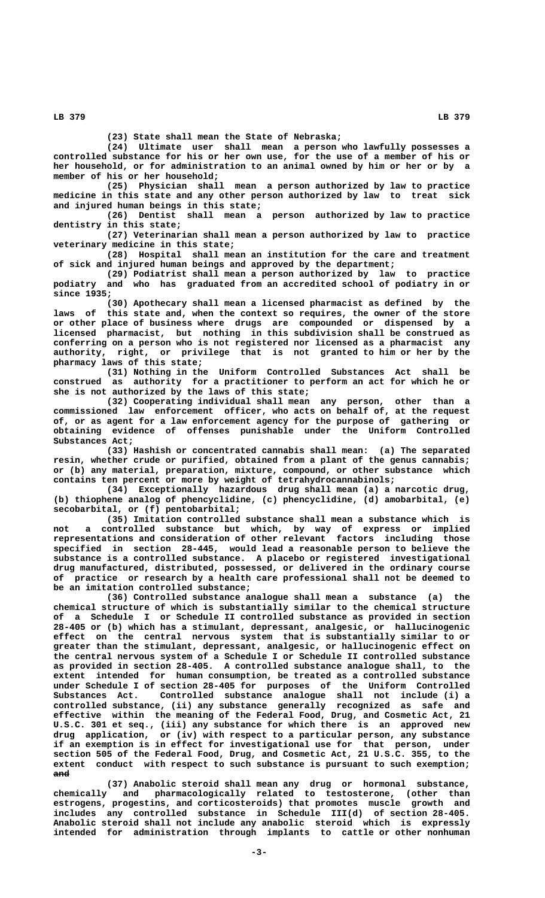**(23) State shall mean the State of Nebraska;**

**(24) Ultimate user shall mean a person who lawfully possesses a controlled substance for his or her own use, for the use of a member of his or her household, or for administration to an animal owned by him or her or by a member of his or her household;**

**(25) Physician shall mean a person authorized by law to practice medicine in this state and any other person authorized by law to treat sick and injured human beings in this state;**

**(26) Dentist shall mean a person authorized by law to practice dentistry in this state;**

**(27) Veterinarian shall mean a person authorized by law to practice veterinary medicine in this state;**

**(28) Hospital shall mean an institution for the care and treatment of sick and injured human beings and approved by the department;**

**(29) Podiatrist shall mean a person authorized by law to practice podiatry and who has graduated from an accredited school of podiatry in or since 1935;**

**(30) Apothecary shall mean a licensed pharmacist as defined by the laws of this state and, when the context so requires, the owner of the store or other place of business where drugs are compounded or dispensed by a licensed pharmacist, but nothing in this subdivision shall be construed as conferring on a person who is not registered nor licensed as a pharmacist any authority, right, or privilege that is not granted to him or her by the pharmacy laws of this state;**

**(31) Nothing in the Uniform Controlled Substances Act shall be construed as authority for a practitioner to perform an act for which he or she is not authorized by the laws of this state;**

**(32) Cooperating individual shall mean any person, other than a commissioned law enforcement officer, who acts on behalf of, at the request of, or as agent for a law enforcement agency for the purpose of gathering or obtaining evidence of offenses punishable under the Uniform Controlled Substances Act;**

**(33) Hashish or concentrated cannabis shall mean: (a) The separated resin, whether crude or purified, obtained from a plant of the genus cannabis; or (b) any material, preparation, mixture, compound, or other substance which contains ten percent or more by weight of tetrahydrocannabinols;**

**(34) Exceptionally hazardous drug shall mean (a) a narcotic drug, (b) thiophene analog of phencyclidine, (c) phencyclidine, (d) amobarbital, (e) secobarbital, or (f) pentobarbital;**

**(35) Imitation controlled substance shall mean a substance which is not a controlled substance but which, by way of express or implied representations and consideration of other relevant factors including those specified in section 28-445, would lead a reasonable person to believe the substance is a controlled substance. A placebo or registered investigational drug manufactured, distributed, possessed, or delivered in the ordinary course of practice or research by a health care professional shall not be deemed to be an imitation controlled substance;**

**(36) Controlled substance analogue shall mean a substance (a) the chemical structure of which is substantially similar to the chemical structure of a Schedule I or Schedule II controlled substance as provided in section 28-405 or (b) which has a stimulant, depressant, analgesic, or hallucinogenic effect on the central nervous system that is substantially similar to or greater than the stimulant, depressant, analgesic, or hallucinogenic effect on the central nervous system of a Schedule I or Schedule II controlled substance as provided in section 28-405. A controlled substance analogue shall, to the extent intended for human consumption, be treated as a controlled substance under Schedule I of section 28-405 for purposes of the Uniform Controlled Substances Act. Controlled substance analogue shall not include (i) a controlled substance, (ii) any substance generally recognized as safe and effective within the meaning of the Federal Food, Drug, and Cosmetic Act, 21 U.S.C. 301 et seq., (iii) any substance for which there is an approved new drug application, or (iv) with respect to a particular person, any substance if an exemption is in effect for investigational use for that person, under section 505 of the Federal Food, Drug, and Cosmetic Act, 21 U.S.C. 355, to the extent conduct with respect to such substance is pursuant to such exemption; and ———**

**(37) Anabolic steroid shall mean any drug or hormonal substance, chemically and pharmacologically related to testosterone, (other than estrogens, progestins, and corticosteroids) that promotes muscle growth and includes any controlled substance in Schedule III(d) of section 28-405. Anabolic steroid shall not include any anabolic steroid which is expressly intended for administration through implants to cattle or other nonhuman**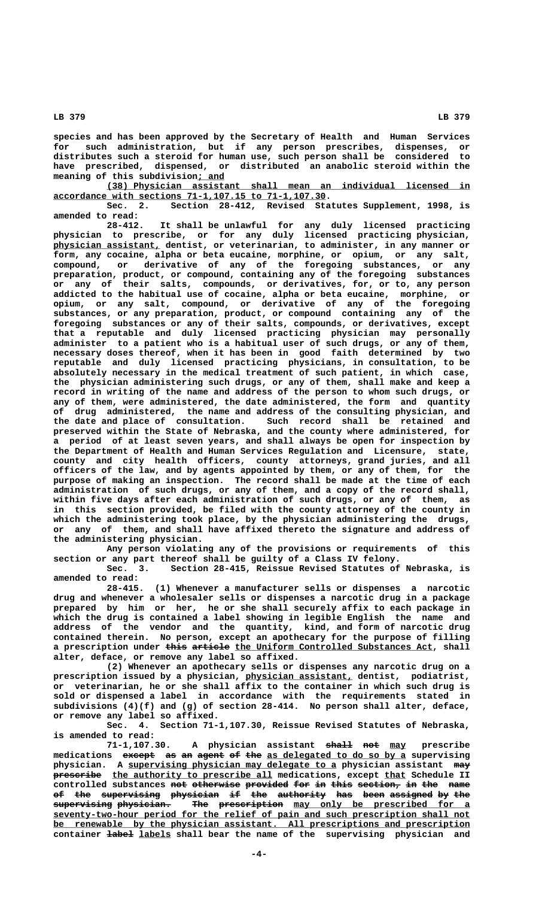**LB 379 LB 379**

**species and has been approved by the Secretary of Health and Human Services for such administration, but if any person prescribes, dispenses, or distributes such a steroid for human use, such person shall be considered to have prescribed, dispensed, or distributed an anabolic steroid within the \_\_\_\_\_ meaning of this subdivision; and**

 **\_\_\_\_\_\_\_\_\_\_\_\_\_\_\_\_\_\_\_\_\_\_\_\_\_\_\_\_\_\_\_\_\_\_\_\_\_\_\_\_\_\_\_\_\_\_\_\_\_\_\_\_\_\_\_\_\_\_\_\_\_\_\_\_\_\_\_\_ (38) Physician assistant shall mean an individual licensed in \_\_\_\_\_\_\_\_\_\_\_\_\_\_\_\_\_\_\_\_\_\_\_\_\_\_\_\_\_\_\_\_\_\_\_\_\_\_\_\_\_\_\_\_\_\_\_\_\_\_\_ accordance with sections 71-1,107.15 to 71-1,107.30.**

**Sec. 2. Section 28-412, Revised Statutes Supplement, 1998, is amended to read:**

**28-412. It shall be unlawful for any duly licensed practicing physician to prescribe, or for any duly licensed practicing physician, \_\_\_\_\_\_\_\_\_\_\_\_\_\_\_\_\_\_\_\_ physician assistant, dentist, or veterinarian, to administer, in any manner or form, any cocaine, alpha or beta eucaine, morphine, or opium, or any salt, compound, or derivative of any of the foregoing substances, or any preparation, product, or compound, containing any of the foregoing substances or any of their salts, compounds, or derivatives, for, or to, any person addicted to the habitual use of cocaine, alpha or beta eucaine, morphine, or opium, or any salt, compound, or derivative of any of the foregoing substances, or any preparation, product, or compound containing any of the foregoing substances or any of their salts, compounds, or derivatives, except that a reputable and duly licensed practicing physician may personally administer to a patient who is a habitual user of such drugs, or any of them, necessary doses thereof, when it has been in good faith determined by two reputable and duly licensed practicing physicians, in consultation, to be absolutely necessary in the medical treatment of such patient, in which case, the physician administering such drugs, or any of them, shall make and keep a record in writing of the name and address of the person to whom such drugs, or any of them, were administered, the date administered, the form and quantity of drug administered, the name and address of the consulting physician, and the date and place of consultation. Such record shall be retained and preserved within the State of Nebraska, and the county where administered, for a period of at least seven years, and shall always be open for inspection by the Department of Health and Human Services Regulation and Licensure, state, county and city health officers, county attorneys, grand juries, and all officers of the law, and by agents appointed by them, or any of them, for the purpose of making an inspection. The record shall be made at the time of each administration of such drugs, or any of them, and a copy of the record shall, within five days after each administration of such drugs, or any of them, as in this section provided, be filed with the county attorney of the county in which the administering took place, by the physician administering the drugs, or any of them, and shall have affixed thereto the signature and address of the administering physician.**

**Any person violating any of the provisions or requirements of this section or any part thereof shall be guilty of a Class IV felony.**

**Sec. 3. Section 28-415, Reissue Revised Statutes of Nebraska, is amended to read:**

**28-415. (1) Whenever a manufacturer sells or dispenses a narcotic drug and whenever a wholesaler sells or dispenses a narcotic drug in a package prepared by him or her, he or she shall securely affix to each package in which the drug is contained a label showing in legible English the name and address of the vendor and the quantity, kind, and form of narcotic drug contained therein. No person, except an apothecary for the purpose of filling** a prescription under this article the Uniform Controlled Substances Act, shall **alter, deface, or remove any label so affixed.**

**(2) Whenever an apothecary sells or dispenses any narcotic drug on a \_\_\_\_\_\_\_\_\_\_\_\_\_\_\_\_\_\_\_\_ prescription issued by a physician, physician assistant, dentist, podiatrist, or veterinarian, he or she shall affix to the container in which such drug is sold or dispensed a label in accordance with the requirements stated in subdivisions (4)(f) and (g) of section 28-414. No person shall alter, deface, or remove any label so affixed.**

**Sec. 4. Section 71-1,107.30, Reissue Revised Statutes of Nebraska, is amended to read:**

A physician assistant <del>shall</del> not may prescribe medications except as an agent of the as delegated to do so by a supervising physician. A supervising physician may delegate to a physician assistant may  $preseribe$  the authority to prescribe all medications, except that Schedule II controlled substances not otherwise provided for in this section, in the name **of the supervising physician if the authority has been assigned by the —— ——— ——————————— ————————— —— ——— ————————— ——— ———— ———————— —— ———**  $\frac{1}{\text{supervised}}$   $\frac{1}{\text{supervised}}$   $\frac{1}{\text{supervised}}$   $\frac{1}{\text{supervised}}$   $\frac{1}{\text{supervised}}$   $\frac{1}{\text{supervised}}$   $\frac{1}{\text{supervised}}$   $\frac{1}{\text{supervised}}$  **\_\_\_\_\_\_\_\_\_\_\_\_\_\_\_\_\_\_\_\_\_\_\_\_\_\_\_\_\_\_\_\_\_\_\_\_\_\_\_\_\_\_\_\_\_\_\_\_\_\_\_\_\_\_\_\_\_\_\_\_\_\_\_\_\_\_\_\_\_\_\_\_\_\_\_\_\_\_ seventy-two-hour period for the relief of pain and such prescription shall not \_\_\_\_\_\_\_\_\_\_\_\_\_\_\_\_\_\_\_\_\_\_\_\_\_\_\_\_\_\_\_\_\_\_\_\_\_\_\_\_\_\_\_\_\_\_\_\_\_\_\_\_\_\_\_\_\_\_\_\_\_\_\_\_\_\_\_\_\_\_\_\_\_\_\_\_\_\_ be renewable by the physician assistant. All prescriptions and prescription** container **label** labels shall bear the name of the supervising physician and